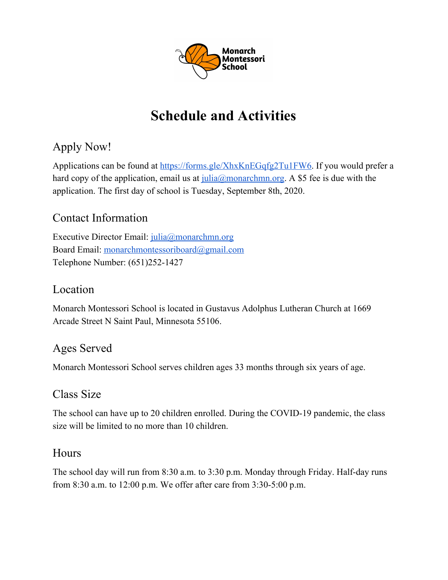

# **Schedule and Activities**

## Apply Now!

Applications can be found at [https://forms.gle/XhxKnEGqfg2Tu1FW6.](https://forms.gle/XhxKnEGqfg2Tu1FW6) If you would prefer a hard copy of the application, email us at [julia@monarchmn.org](mailto:julia@monarchmn.org). A \$5 fee is due with the application. The first day of school is Tuesday, September 8th, 2020.

## Contact Information

Executive Director Email: [julia@monarchmn.org](mailto:julia@monarchmn.org) Board Email: [monarchmontessoriboard@gmail.com](mailto:monarchmontessoriboard@gmail.com) Telephone Number: (651)252-1427

#### Location

Monarch Montessori School is located in Gustavus Adolphus Lutheran Church at 1669 Arcade Street N Saint Paul, Minnesota 55106.

## Ages Served

Monarch Montessori School serves children ages 33 months through six years of age.

## Class Size

The school can have up to 20 children enrolled. During the COVID-19 pandemic, the class size will be limited to no more than 10 children.

## **Hours**

The school day will run from 8:30 a.m. to 3:30 p.m. Monday through Friday. Half-day runs from 8:30 a.m. to 12:00 p.m. We offer after care from 3:30-5:00 p.m.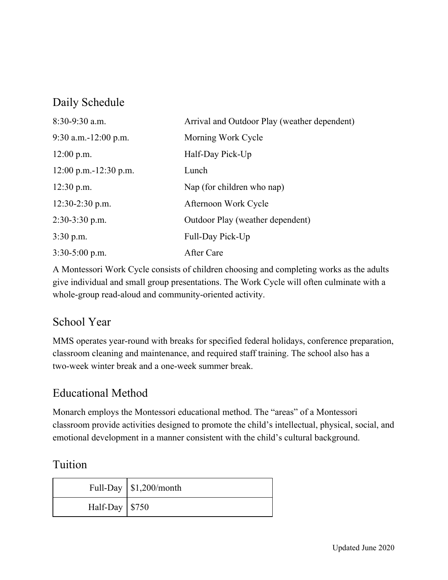## Daily Schedule

| $8:30-9:30$ a.m.        | Arrival and Outdoor Play (weather dependent) |
|-------------------------|----------------------------------------------|
| $9:30$ a.m.-12:00 p.m.  | Morning Work Cycle                           |
| $12:00$ p.m.            | Half-Day Pick-Up                             |
| $12:00$ p.m.-12:30 p.m. | Lunch                                        |
| $12:30$ p.m.            | Nap (for children who nap)                   |
| $12:30-2:30$ p.m.       | Afternoon Work Cycle                         |
| $2:30-3:30$ p.m.        | Outdoor Play (weather dependent)             |
| $3:30$ p.m.             | Full-Day Pick-Up                             |
| $3:30-5:00$ p.m.        | After Care                                   |

A Montessori Work Cycle consists of children choosing and completing works as the adults give individual and small group presentations. The Work Cycle will often culminate with a whole-group read-aloud and community-oriented activity.

## School Year

MMS operates year-round with breaks for specified federal holidays, conference preparation, classroom cleaning and maintenance, and required staff training. The school also has a two-week winter break and a one-week summer break.

## Educational Method

Monarch employs the Montessori educational method. The "areas" of a Montessori classroom provide activities designed to promote the child's intellectual, physical, social, and emotional development in a manner consistent with the child's cultural background.

#### Tuition

|                        | Full-Day $\vert$ \$1,200/month |
|------------------------|--------------------------------|
| Half-Day $\sqrt{$750}$ |                                |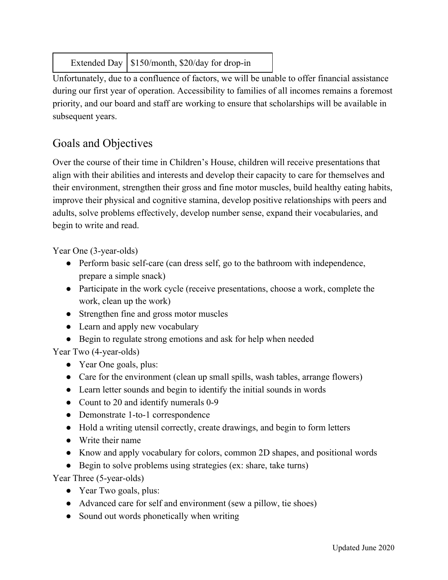Extended Day  $\frac{\$150}{\text{month}}$ , \$20/day for drop-in

Unfortunately, due to a confluence of factors, we will be unable to offer financial assistance during our first year of operation. Accessibility to families of all incomes remains a foremost priority, and our board and staff are working to ensure that scholarships will be available in subsequent years.

## Goals and Objectives

Over the course of their time in Children's House, children will receive presentations that align with their abilities and interests and develop their capacity to care for themselves and their environment, strengthen their gross and fine motor muscles, build healthy eating habits, improve their physical and cognitive stamina, develop positive relationships with peers and adults, solve problems effectively, develop number sense, expand their vocabularies, and begin to write and read.

Year One (3-year-olds)

- Perform basic self-care (can dress self, go to the bathroom with independence, prepare a simple snack)
- Participate in the work cycle (receive presentations, choose a work, complete the work, clean up the work)
- Strengthen fine and gross motor muscles
- Learn and apply new vocabulary
- Begin to regulate strong emotions and ask for help when needed

Year Two (4-year-olds)

- Year One goals, plus:
- Care for the environment (clean up small spills, wash tables, arrange flowers)
- Learn letter sounds and begin to identify the initial sounds in words
- Count to 20 and identify numerals 0-9
- Demonstrate 1-to-1 correspondence
- Hold a writing utensil correctly, create drawings, and begin to form letters
- Write their name
- Know and apply vocabulary for colors, common 2D shapes, and positional words
- Begin to solve problems using strategies (ex: share, take turns)

Year Three (5-year-olds)

- Year Two goals, plus:
- Advanced care for self and environment (sew a pillow, tie shoes)
- Sound out words phonetically when writing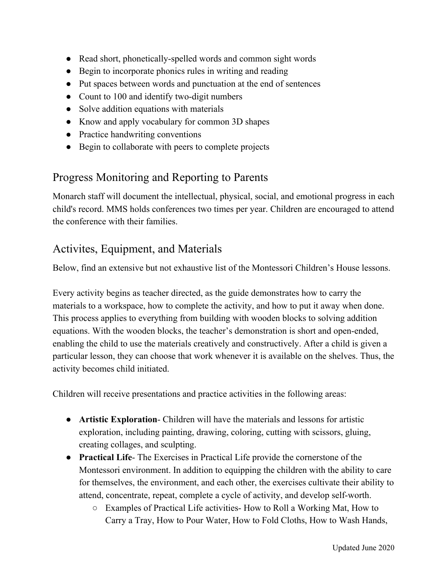- Read short, phonetically-spelled words and common sight words
- Begin to incorporate phonics rules in writing and reading
- Put spaces between words and punctuation at the end of sentences
- Count to 100 and identify two-digit numbers
- Solve addition equations with materials
- Know and apply vocabulary for common 3D shapes
- Practice handwriting conventions
- Begin to collaborate with peers to complete projects

## Progress Monitoring and Reporting to Parents

Monarch staff will document the intellectual, physical, social, and emotional progress in each child's record. MMS holds conferences two times per year. Children are encouraged to attend the conference with their families.

## Activites, Equipment, and Materials

Below, find an extensive but not exhaustive list of the Montessori Children's House lessons.

Every activity begins as teacher directed, as the guide demonstrates how to carry the materials to a workspace, how to complete the activity, and how to put it away when done. This process applies to everything from building with wooden blocks to solving addition equations. With the wooden blocks, the teacher's demonstration is short and open-ended, enabling the child to use the materials creatively and constructively. After a child is given a particular lesson, they can choose that work whenever it is available on the shelves. Thus, the activity becomes child initiated.

Children will receive presentations and practice activities in the following areas:

- **Artistic Exploration** Children will have the materials and lessons for artistic exploration, including painting, drawing, coloring, cutting with scissors, gluing, creating collages, and sculpting.
- **Practical Life** The Exercises in Practical Life provide the cornerstone of the Montessori environment. In addition to equipping the children with the ability to care for themselves, the environment, and each other, the exercises cultivate their ability to attend, concentrate, repeat, complete a cycle of activity, and develop self-worth.
	- Examples of Practical Life activities- How to Roll a Working Mat, How to Carry a Tray, How to Pour Water, How to Fold Cloths, How to Wash Hands,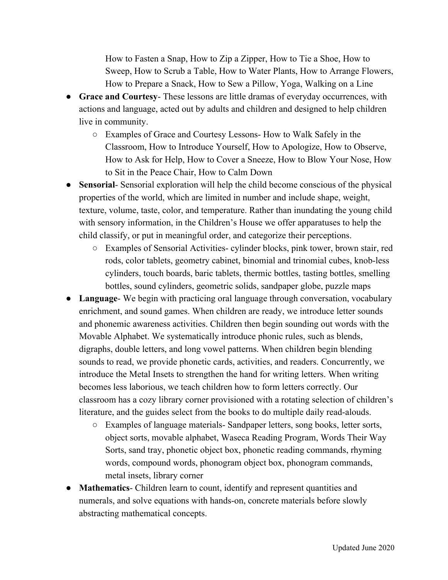How to Fasten a Snap, How to Zip a Zipper, How to Tie a Shoe, How to Sweep, How to Scrub a Table, How to Water Plants, How to Arrange Flowers, How to Prepare a Snack, How to Sew a Pillow, Yoga, Walking on a Line

- **Grace and Courtesy** These lessons are little dramas of everyday occurrences, with actions and language, acted out by adults and children and designed to help children live in community.
	- Examples of Grace and Courtesy Lessons- How to Walk Safely in the Classroom, How to Introduce Yourself, How to Apologize, How to Observe, How to Ask for Help, How to Cover a Sneeze, How to Blow Your Nose, How to Sit in the Peace Chair, How to Calm Down
- **Sensorial** Sensorial exploration will help the child become conscious of the physical properties of the world, which are limited in number and include shape, weight, texture, volume, taste, color, and temperature. Rather than inundating the young child with sensory information, in the Children's House we offer apparatuses to help the child classify, or put in meaningful order, and categorize their perceptions.
	- Examples of Sensorial Activities- cylinder blocks, pink tower, brown stair, red rods, color tablets, geometry cabinet, binomial and trinomial cubes, knob-less cylinders, touch boards, baric tablets, thermic bottles, tasting bottles, smelling bottles, sound cylinders, geometric solids, sandpaper globe, puzzle maps
- **Language** We begin with practicing oral language through conversation, vocabulary enrichment, and sound games. When children are ready, we introduce letter sounds and phonemic awareness activities. Children then begin sounding out words with the Movable Alphabet. We systematically introduce phonic rules, such as blends, digraphs, double letters, and long vowel patterns. When children begin blending sounds to read, we provide phonetic cards, activities, and readers. Concurrently, we introduce the Metal Insets to strengthen the hand for writing letters. When writing becomes less laborious, we teach children how to form letters correctly. Our classroom has a cozy library corner provisioned with a rotating selection of children's literature, and the guides select from the books to do multiple daily read-alouds.
	- Examples of language materials- Sandpaper letters, song books, letter sorts, object sorts, movable alphabet, Waseca Reading Program, Words Their Way Sorts, sand tray, phonetic object box, phonetic reading commands, rhyming words, compound words, phonogram object box, phonogram commands, metal insets, library corner
- **Mathematics** Children learn to count, identify and represent quantities and numerals, and solve equations with hands-on, concrete materials before slowly abstracting mathematical concepts.